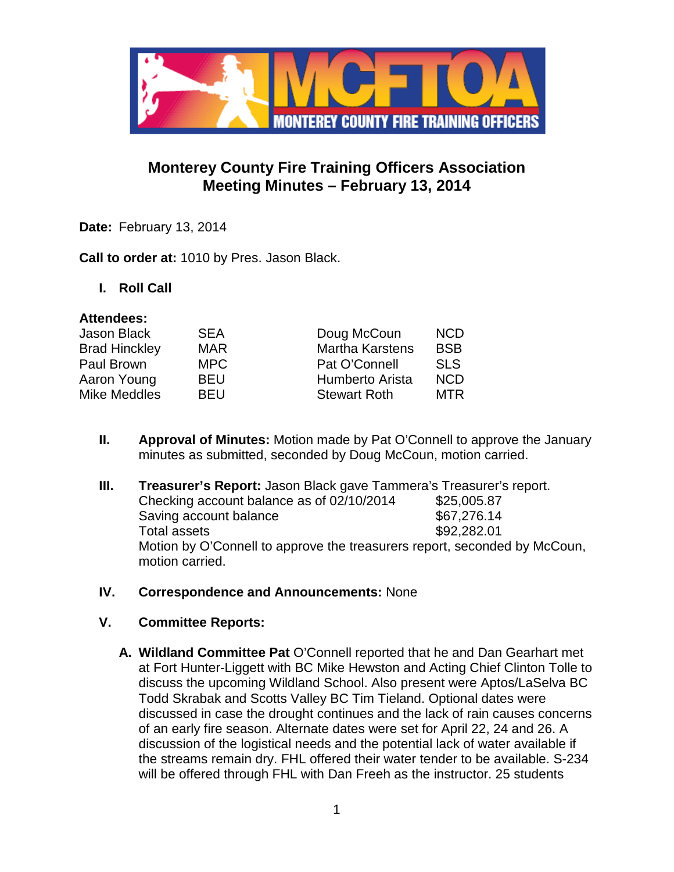

## **Monterey County Fire Training Officers Association Meeting Minutes – February 13, 2014**

**Date:** February 13, 2014

**Call to order at:** 1010 by Pres. Jason Black.

**I. Roll Call**

#### **Attendees:**

| <b>Jason Black</b>   | <b>SEA</b> | Doug McCoun            | <b>NCD</b> |
|----------------------|------------|------------------------|------------|
| <b>Brad Hinckley</b> | <b>MAR</b> | <b>Martha Karstens</b> | <b>BSB</b> |
| Paul Brown           | MPC.       | Pat O'Connell          | <b>SLS</b> |
| Aaron Young          | <b>BEU</b> | Humberto Arista        | <b>NCD</b> |
| Mike Meddles         | <b>BEU</b> | <b>Stewart Roth</b>    | MTR.       |
|                      |            |                        |            |

- **II. Approval of Minutes:** Motion made by Pat O'Connell to approve the January minutes as submitted, seconded by Doug McCoun, motion carried.
- **III. Treasurer's Report:** Jason Black gave Tammera's Treasurer's report. Checking account balance as of  $02/10/2014$  \$25,005.87 Saving account balance \$67,276.14 Total assets  $$92.282.01$ Motion by O'Connell to approve the treasurers report, seconded by McCoun, motion carried.
- **IV. Correspondence and Announcements:** None
- **V. Committee Reports:**
	- **A. Wildland Committee Pat** O'Connell reported that he and Dan Gearhart met at Fort Hunter-Liggett with BC Mike Hewston and Acting Chief Clinton Tolle to discuss the upcoming Wildland School. Also present were Aptos/LaSelva BC Todd Skrabak and Scotts Valley BC Tim Tieland. Optional dates were discussed in case the drought continues and the lack of rain causes concerns of an early fire season. Alternate dates were set for April 22, 24 and 26. A discussion of the logistical needs and the potential lack of water available if the streams remain dry. FHL offered their water tender to be available. S-234 will be offered through FHL with Dan Freeh as the instructor. 25 students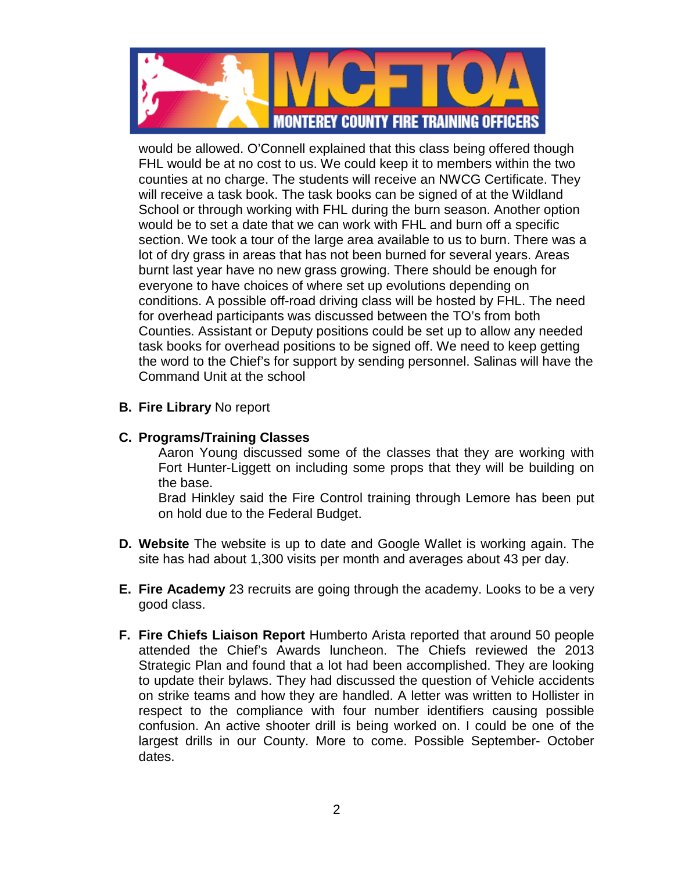

would be allowed. O'Connell explained that this class being offered though FHL would be at no cost to us. We could keep it to members within the two counties at no charge. The students will receive an NWCG Certificate. They will receive a task book. The task books can be signed of at the Wildland School or through working with FHL during the burn season. Another option would be to set a date that we can work with FHL and burn off a specific section. We took a tour of the large area available to us to burn. There was a lot of dry grass in areas that has not been burned for several years. Areas burnt last year have no new grass growing. There should be enough for everyone to have choices of where set up evolutions depending on conditions. A possible off-road driving class will be hosted by FHL. The need for overhead participants was discussed between the TO's from both Counties. Assistant or Deputy positions could be set up to allow any needed task books for overhead positions to be signed off. We need to keep getting the word to the Chief's for support by sending personnel. Salinas will have the Command Unit at the school

- **B. Fire Library** No report
- **C. Programs/Training Classes**

Aaron Young discussed some of the classes that they are working with Fort Hunter-Liggett on including some props that they will be building on the base.

Brad Hinkley said the Fire Control training through Lemore has been put on hold due to the Federal Budget.

- **D. Website** The website is up to date and Google Wallet is working again. The site has had about 1,300 visits per month and averages about 43 per day.
- **E. Fire Academy** 23 recruits are going through the academy. Looks to be a very good class.
- **F. Fire Chiefs Liaison Report** Humberto Arista reported that around 50 people attended the Chief's Awards luncheon. The Chiefs reviewed the 2013 Strategic Plan and found that a lot had been accomplished. They are looking to update their bylaws. They had discussed the question of Vehicle accidents on strike teams and how they are handled. A letter was written to Hollister in respect to the compliance with four number identifiers causing possible confusion. An active shooter drill is being worked on. I could be one of the largest drills in our County. More to come. Possible September- October dates.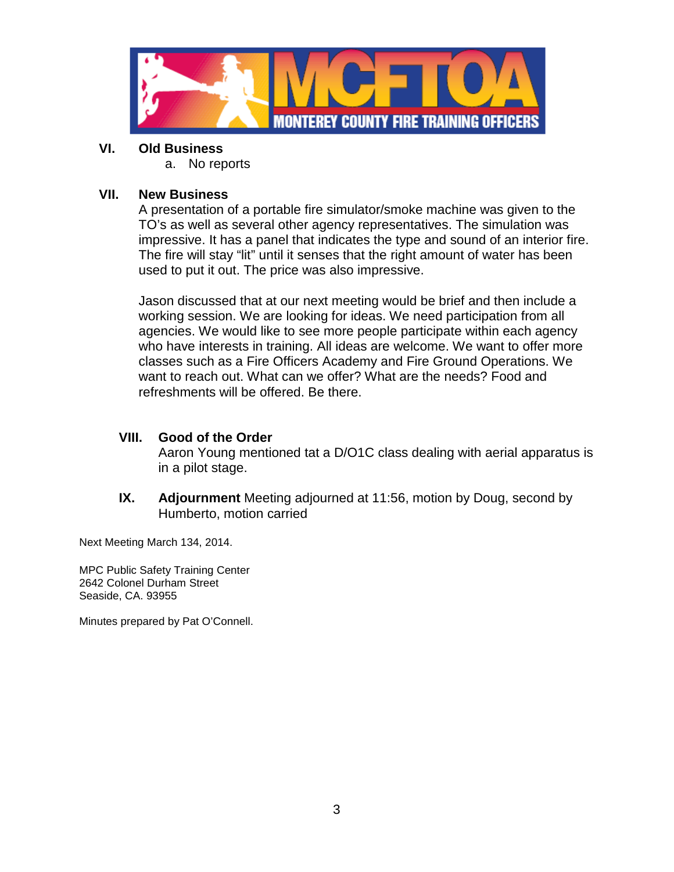

#### **VI. Old Business**

a. No reports

#### **VII. New Business**

A presentation of a portable fire simulator/smoke machine was given to the TO's as well as several other agency representatives. The simulation was impressive. It has a panel that indicates the type and sound of an interior fire. The fire will stay "lit" until it senses that the right amount of water has been used to put it out. The price was also impressive.

Jason discussed that at our next meeting would be brief and then include a working session. We are looking for ideas. We need participation from all agencies. We would like to see more people participate within each agency who have interests in training. All ideas are welcome. We want to offer more classes such as a Fire Officers Academy and Fire Ground Operations. We want to reach out. What can we offer? What are the needs? Food and refreshments will be offered. Be there.

### **VIII. Good of the Order**

Aaron Young mentioned tat a D/O1C class dealing with aerial apparatus is in a pilot stage.

**IX. Adjournment** Meeting adjourned at 11:56, motion by Doug, second by Humberto, motion carried

Next Meeting March 134, 2014.

MPC Public Safety Training Center 2642 Colonel Durham Street Seaside, CA. 93955

Minutes prepared by Pat O'Connell.